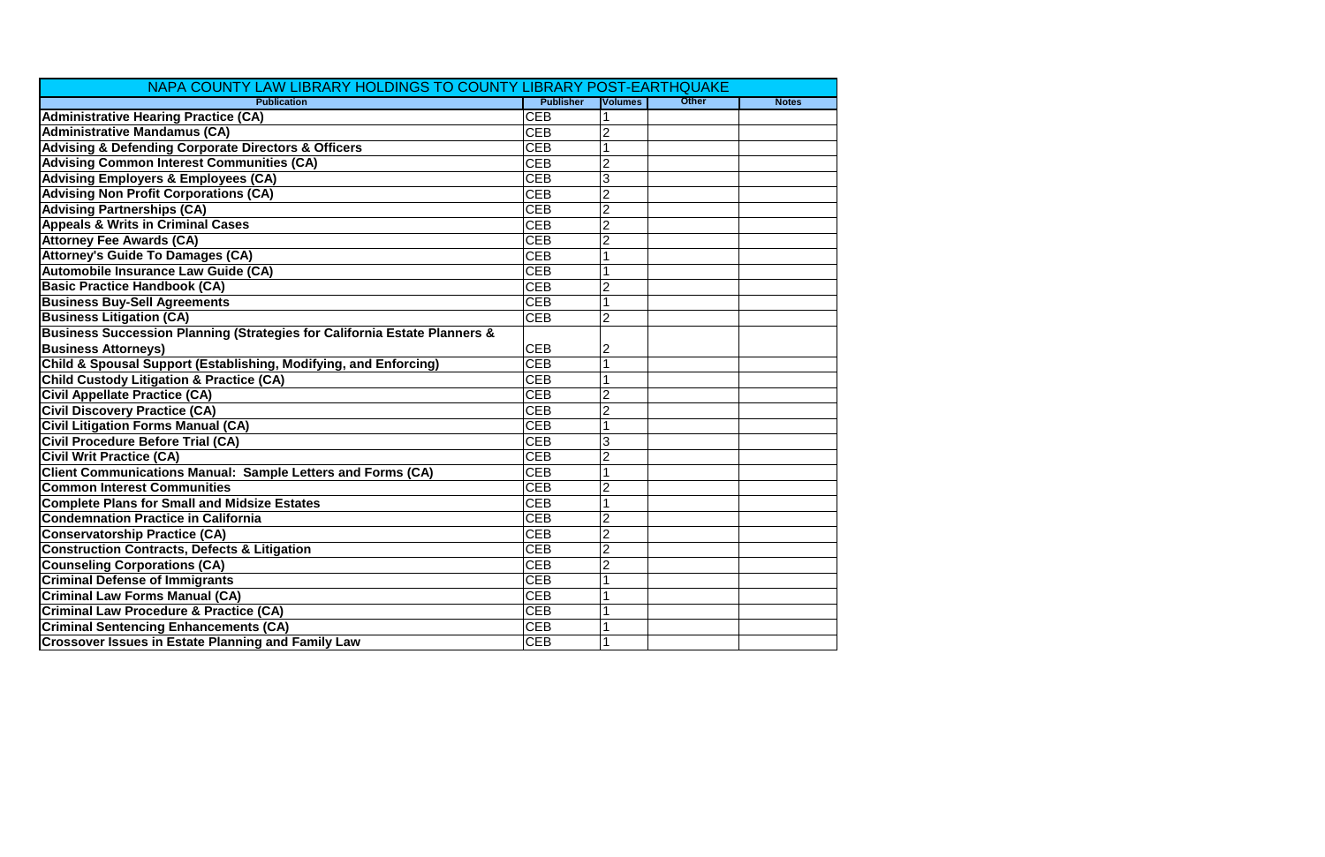| NAPA COUNTY LAW LIBRARY HOLDINGS TO COUNTY LIBRARY POST-EARTHQUAKE        |                  |                |              |              |
|---------------------------------------------------------------------------|------------------|----------------|--------------|--------------|
| <b>Publication</b>                                                        | <b>Publisher</b> | <b>Volumes</b> | <b>Other</b> | <b>Notes</b> |
| <b>Administrative Hearing Practice (CA)</b>                               | <b>CEB</b>       |                |              |              |
| <b>Administrative Mandamus (CA)</b>                                       | <b>CEB</b>       |                |              |              |
| <b>Advising &amp; Defending Corporate Directors &amp; Officers</b>        | <b>CEB</b>       |                |              |              |
| <b>Advising Common Interest Communities (CA)</b>                          | <b>CEB</b>       |                |              |              |
| <b>Advising Employers &amp; Employees (CA)</b>                            | <b>CEB</b>       | 3              |              |              |
| <b>Advising Non Profit Corporations (CA)</b>                              | <b>CEB</b>       | $\overline{2}$ |              |              |
| <b>Advising Partnerships (CA)</b>                                         | <b>CEB</b>       | $\overline{2}$ |              |              |
| <b>Appeals &amp; Writs in Criminal Cases</b>                              | <b>CEB</b>       | $\overline{2}$ |              |              |
| <b>Attorney Fee Awards (CA)</b>                                           | <b>CEB</b>       | $\overline{2}$ |              |              |
| <b>Attorney's Guide To Damages (CA)</b>                                   | <b>CEB</b>       |                |              |              |
| Automobile Insurance Law Guide (CA)                                       | <b>CEB</b>       |                |              |              |
| <b>Basic Practice Handbook (CA)</b>                                       | <b>CEB</b>       |                |              |              |
| <b>Business Buy-Sell Agreements</b>                                       | <b>CEB</b>       |                |              |              |
| <b>Business Litigation (CA)</b>                                           | <b>CEB</b>       | $\overline{2}$ |              |              |
| Business Succession Planning (Strategies for California Estate Planners & |                  |                |              |              |
| <b>Business Attorneys)</b>                                                | <b>CEB</b>       | 2              |              |              |
| Child & Spousal Support (Establishing, Modifying, and Enforcing)          | <b>CEB</b>       |                |              |              |
| <b>Child Custody Litigation &amp; Practice (CA)</b>                       | <b>CEB</b>       |                |              |              |
| <b>Civil Appellate Practice (CA)</b>                                      | <b>CEB</b>       | $\overline{2}$ |              |              |
| <b>Civil Discovery Practice (CA)</b>                                      | <b>CEB</b>       |                |              |              |
| <b>Civil Litigation Forms Manual (CA)</b>                                 | <b>CEB</b>       |                |              |              |
| <b>Civil Procedure Before Trial (CA)</b>                                  | <b>CEB</b>       | 3              |              |              |
| <b>Civil Writ Practice (CA)</b>                                           | <b>CEB</b>       | $\overline{2}$ |              |              |
| <b>Client Communications Manual: Sample Letters and Forms (CA)</b>        | <b>CEB</b>       |                |              |              |
| <b>Common Interest Communities</b>                                        | <b>CEB</b>       |                |              |              |
| <b>Complete Plans for Small and Midsize Estates</b>                       | <b>CEB</b>       |                |              |              |
| <b>Condemnation Practice in California</b>                                | <b>CEB</b>       | $\overline{2}$ |              |              |
| <b>Conservatorship Practice (CA)</b>                                      | <b>CEB</b>       | $\overline{2}$ |              |              |
| <b>Construction Contracts, Defects &amp; Litigation</b>                   | <b>CEB</b>       | $\overline{2}$ |              |              |
| <b>Counseling Corporations (CA)</b>                                       | <b>CEB</b>       | $\overline{c}$ |              |              |
| <b>Criminal Defense of Immigrants</b>                                     | <b>CEB</b>       |                |              |              |
| <b>Criminal Law Forms Manual (CA)</b>                                     | <b>CEB</b>       |                |              |              |
| <b>Criminal Law Procedure &amp; Practice (CA)</b>                         | <b>CEB</b>       |                |              |              |
| <b>Criminal Sentencing Enhancements (CA)</b>                              | <b>CEB</b>       |                |              |              |
| <b>Crossover Issues in Estate Planning and Family Law</b>                 | <b>CEB</b>       |                |              |              |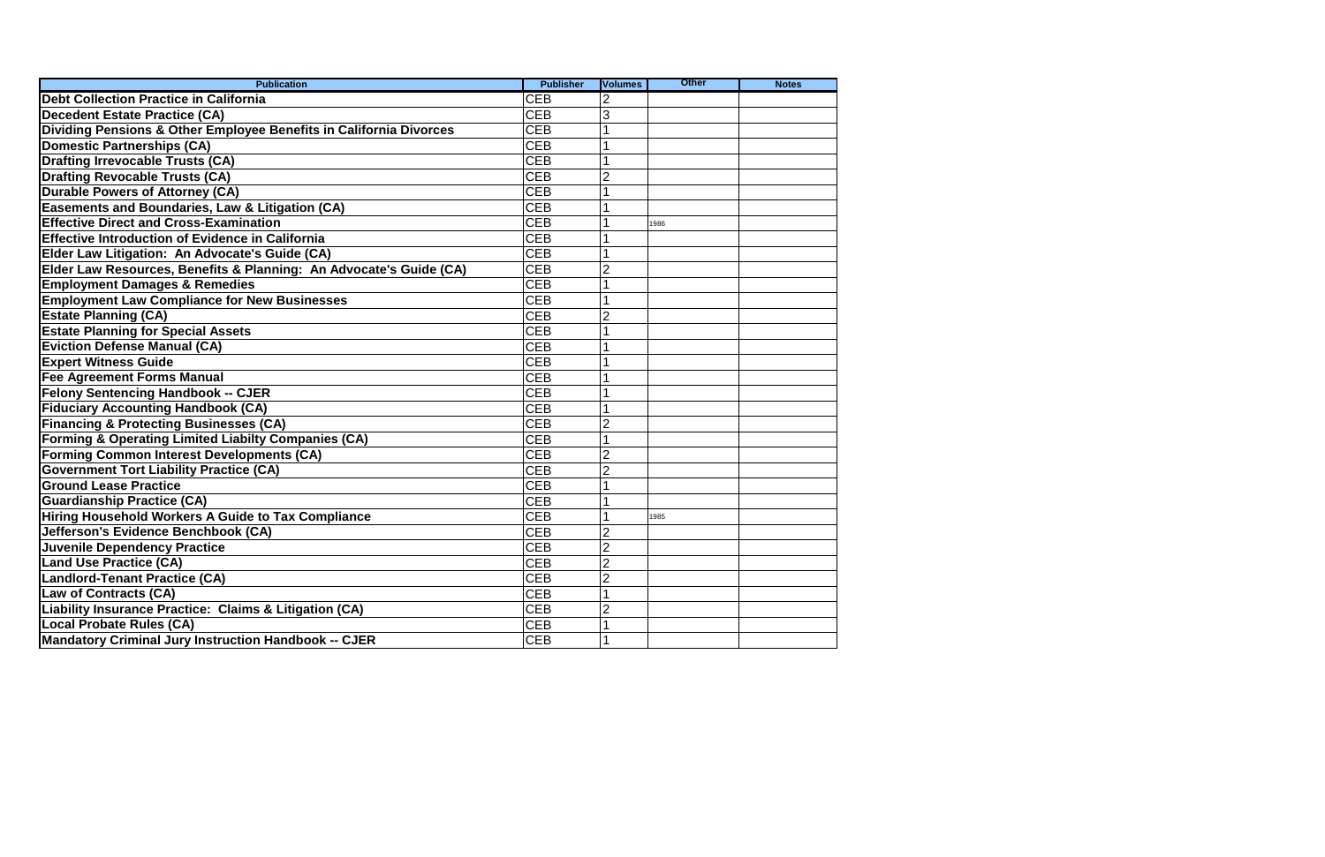| <b>Publication</b>                                                 | <b>Publisher</b> | <b>Volumes</b>    | <b>Other</b> | <b>Notes</b> |
|--------------------------------------------------------------------|------------------|-------------------|--------------|--------------|
| <b>Debt Collection Practice in California</b>                      | <b>CEB</b>       |                   |              |              |
| <b>Decedent Estate Practice (CA)</b>                               | <b>CEB</b>       | 3                 |              |              |
| Dividing Pensions & Other Employee Benefits in California Divorces | <b>CEB</b>       |                   |              |              |
| <b>Domestic Partnerships (CA)</b>                                  | <b>CEB</b>       |                   |              |              |
| <b>Drafting Irrevocable Trusts (CA)</b>                            | <b>CEB</b>       |                   |              |              |
| <b>Drafting Revocable Trusts (CA)</b>                              | <b>CEB</b>       | 2                 |              |              |
| <b>Durable Powers of Attorney (CA)</b>                             | <b>CEB</b>       |                   |              |              |
| Easements and Boundaries, Law & Litigation (CA)                    | <b>CEB</b>       |                   |              |              |
| <b>Effective Direct and Cross-Examination</b>                      | <b>CEB</b>       |                   | 1986         |              |
| <b>Effective Introduction of Evidence in California</b>            | <b>CEB</b>       |                   |              |              |
| Elder Law Litigation: An Advocate's Guide (CA)                     | <b>CEB</b>       |                   |              |              |
| Elder Law Resources, Benefits & Planning: An Advocate's Guide (CA) | <b>CEB</b>       |                   |              |              |
| <b>Employment Damages &amp; Remedies</b>                           | <b>CEB</b>       |                   |              |              |
| <b>Employment Law Compliance for New Businesses</b>                | <b>CEB</b>       |                   |              |              |
| <b>Estate Planning (CA)</b>                                        | <b>CEB</b>       | 2                 |              |              |
| <b>Estate Planning for Special Assets</b>                          | <b>CEB</b>       |                   |              |              |
| <b>Eviction Defense Manual (CA)</b>                                | <b>CEB</b>       |                   |              |              |
| <b>Expert Witness Guide</b>                                        | <b>CEB</b>       |                   |              |              |
| <b>Fee Agreement Forms Manual</b>                                  | <b>CEB</b>       |                   |              |              |
| <b>Felony Sentencing Handbook -- CJER</b>                          | <b>CEB</b>       |                   |              |              |
| <b>Fiduciary Accounting Handbook (CA)</b>                          | <b>CEB</b>       |                   |              |              |
| <b>Financing &amp; Protecting Businesses (CA)</b>                  | <b>CEB</b>       | 2                 |              |              |
| <b>Forming &amp; Operating Limited Liabilty Companies (CA)</b>     | <b>CEB</b>       |                   |              |              |
| <b>Forming Common Interest Developments (CA)</b>                   | <b>CEB</b>       |                   |              |              |
| <b>Government Tort Liability Practice (CA)</b>                     | <b>CEB</b>       | $\overline{2}$    |              |              |
| <b>Ground Lease Practice</b>                                       | <b>CEB</b>       |                   |              |              |
| <b>Guardianship Practice (CA)</b>                                  | <b>CEB</b>       |                   |              |              |
| Hiring Household Workers A Guide to Tax Compliance                 | <b>CEB</b>       |                   | 1985         |              |
| Jefferson's Evidence Benchbook (CA)                                | <b>CEB</b>       |                   |              |              |
| <b>Juvenile Dependency Practice</b>                                | <b>CEB</b>       | 2                 |              |              |
| <b>Land Use Practice (CA)</b>                                      | CEB              | <sub>C</sub><br>۷ |              |              |
| Landlord-Tenant Practice (CA)                                      | <b>CEB</b>       | $\overline{2}$    |              |              |
| Law of Contracts (CA)                                              | <b>CEB</b>       |                   |              |              |
| <b>Liability Insurance Practice: Claims &amp; Litigation (CA)</b>  | <b>CEB</b>       | 2                 |              |              |
| Local Probate Rules (CA)                                           | <b>CEB</b>       |                   |              |              |
| <b>Mandatory Criminal Jury Instruction Handbook -- CJER</b>        | <b>CEB</b>       |                   |              |              |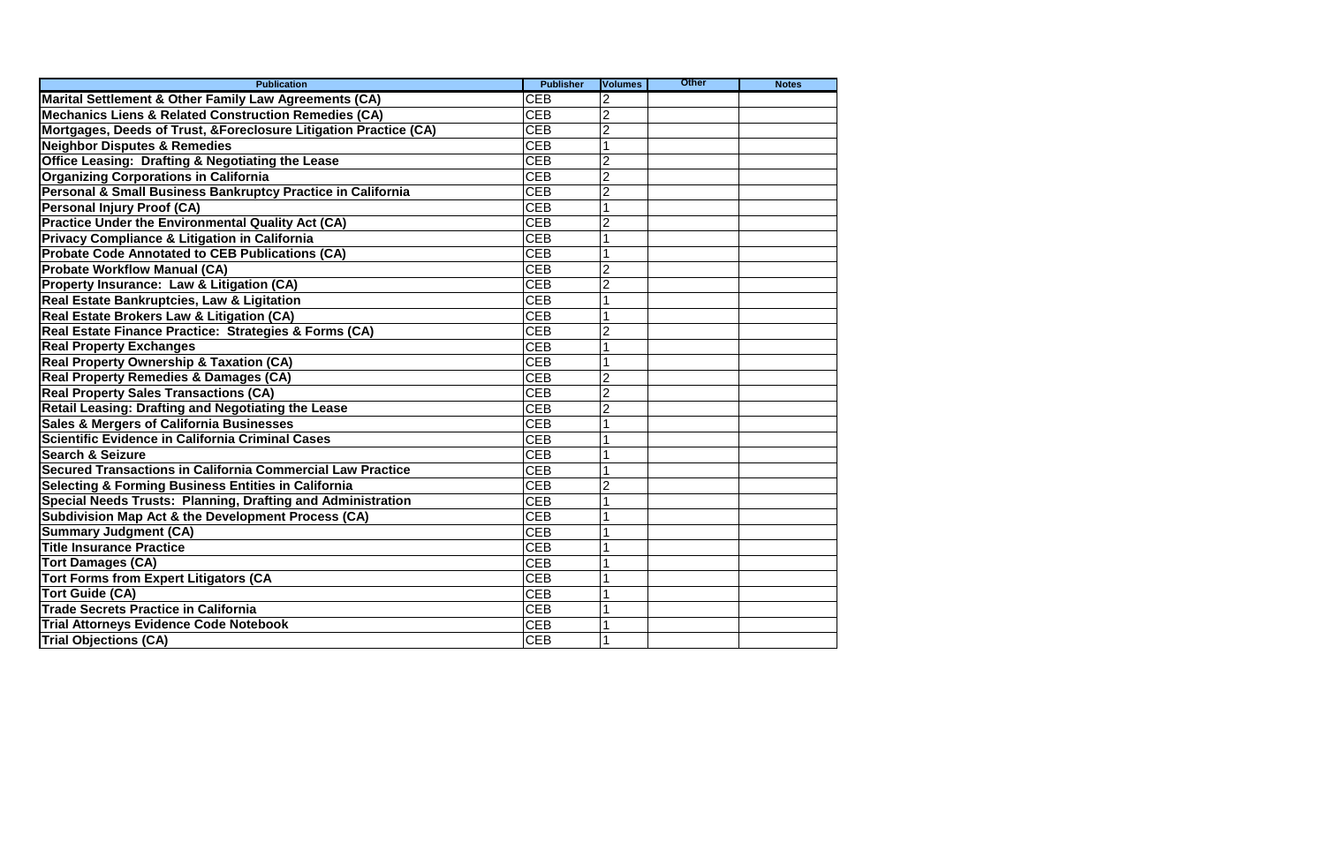| <b>Publication</b>                                                | <b>Publisher</b> | <b>Volumes</b> | <b>Other</b> | <b>Notes</b> |
|-------------------------------------------------------------------|------------------|----------------|--------------|--------------|
| Marital Settlement & Other Family Law Agreements (CA)             | <b>CEB</b>       |                |              |              |
| <b>Mechanics Liens &amp; Related Construction Remedies (CA)</b>   | <b>CEB</b>       | $\overline{2}$ |              |              |
| Mortgages, Deeds of Trust, & Foreclosure Litigation Practice (CA) | <b>CEB</b>       |                |              |              |
| <b>Neighbor Disputes &amp; Remedies</b>                           | <b>CEB</b>       |                |              |              |
| <b>Office Leasing: Drafting &amp; Negotiating the Lease</b>       | <b>CEB</b>       |                |              |              |
| <b>Organizing Corporations in California</b>                      | <b>CEB</b>       | 2              |              |              |
| Personal & Small Business Bankruptcy Practice in California       | <b>CEB</b>       |                |              |              |
| <b>Personal Injury Proof (CA)</b>                                 | <b>CEB</b>       |                |              |              |
| <b>Practice Under the Environmental Quality Act (CA)</b>          | <b>CEB</b>       |                |              |              |
| <b>Privacy Compliance &amp; Litigation in California</b>          | <b>CEB</b>       |                |              |              |
| <b>Probate Code Annotated to CEB Publications (CA)</b>            | <b>CEB</b>       |                |              |              |
| <b>Probate Workflow Manual (CA)</b>                               | <b>CEB</b>       |                |              |              |
| Property Insurance: Law & Litigation (CA)                         | <b>CEB</b>       |                |              |              |
| <b>Real Estate Bankruptcies, Law &amp; Ligitation</b>             | <b>CEB</b>       |                |              |              |
| Real Estate Brokers Law & Litigation (CA)                         | <b>CEB</b>       |                |              |              |
| Real Estate Finance Practice: Strategies & Forms (CA)             | <b>CEB</b>       |                |              |              |
| <b>Real Property Exchanges</b>                                    | <b>CEB</b>       |                |              |              |
| <b>Real Property Ownership &amp; Taxation (CA)</b>                | <b>CEB</b>       |                |              |              |
| Real Property Remedies & Damages (CA)                             | <b>CEB</b>       |                |              |              |
| <b>Real Property Sales Transactions (CA)</b>                      | <b>CEB</b>       | $\overline{2}$ |              |              |
| Retail Leasing: Drafting and Negotiating the Lease                | <b>CEB</b>       |                |              |              |
| <b>Sales &amp; Mergers of California Businesses</b>               | <b>CEB</b>       |                |              |              |
| Scientific Evidence in California Criminal Cases                  | <b>CEB</b>       |                |              |              |
| <b>Search &amp; Seizure</b>                                       | <b>CEB</b>       |                |              |              |
| Secured Transactions in California Commercial Law Practice        | <b>CEB</b>       |                |              |              |
| <b>Selecting &amp; Forming Business Entities in California</b>    | <b>CEB</b>       |                |              |              |
| Special Needs Trusts: Planning, Drafting and Administration       | <b>CEB</b>       |                |              |              |
| <b>Subdivision Map Act &amp; the Development Process (CA)</b>     | <b>CEB</b>       |                |              |              |
| <b>Summary Judgment (CA)</b>                                      | <b>CEB</b>       |                |              |              |
| <b>Title Insurance Practice</b>                                   | <b>CEB</b>       |                |              |              |
| <b>Tort Damages (CA)</b>                                          | CEB              |                |              |              |
| <b>Tort Forms from Expert Litigators (CA</b>                      | <b>CEB</b>       |                |              |              |
| Tort Guide (CA)                                                   | <b>CEB</b>       |                |              |              |
| <b>Trade Secrets Practice in California</b>                       | <b>CEB</b>       |                |              |              |
| <b>Trial Attorneys Evidence Code Notebook</b>                     | <b>CEB</b>       |                |              |              |
| <b>Trial Objections (CA)</b>                                      | <b>CEB</b>       |                |              |              |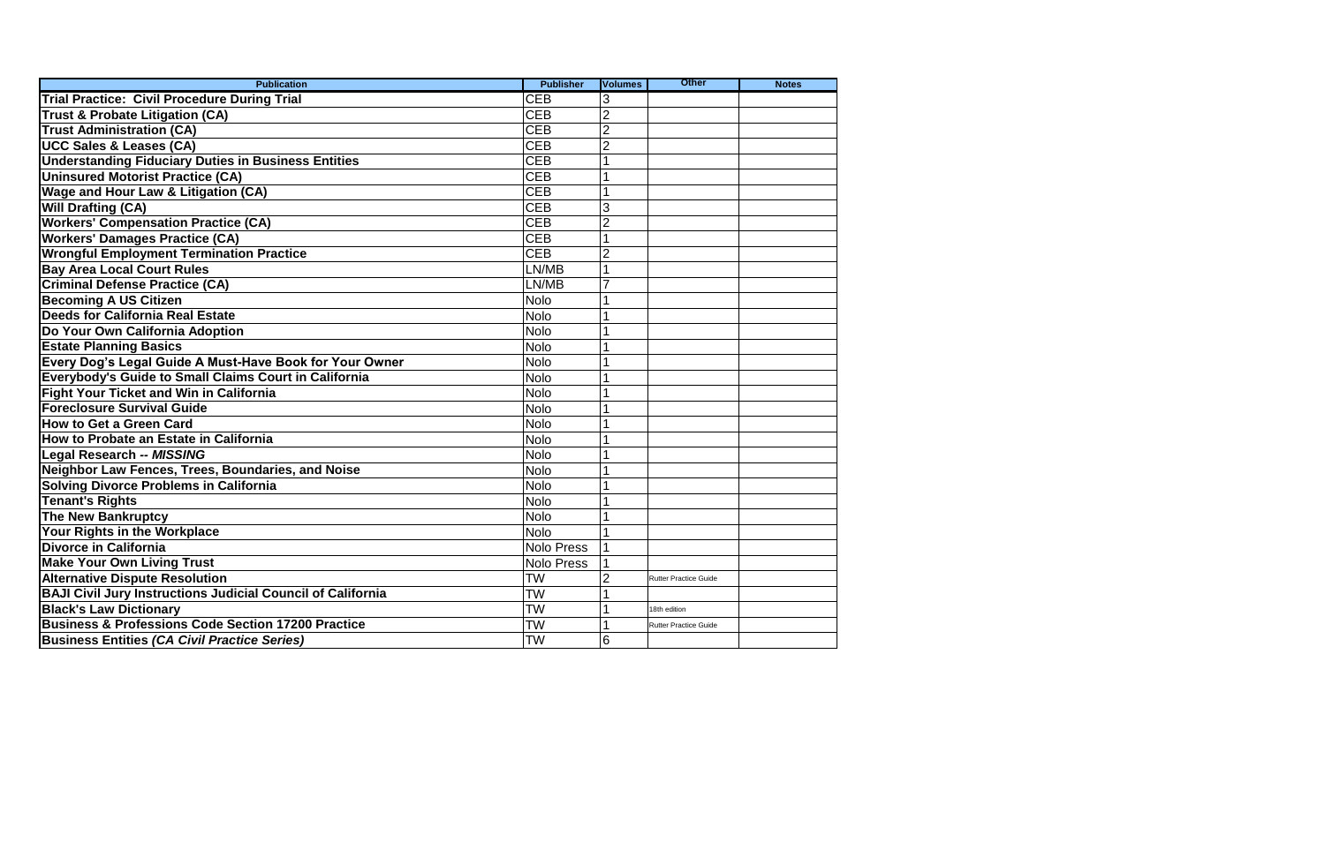| <b>Publication</b>                                                 | <b>Publisher</b>  | <b>Volumes</b> | <b>Other</b>                 | <b>Notes</b> |
|--------------------------------------------------------------------|-------------------|----------------|------------------------------|--------------|
| <b>Trial Practice: Civil Procedure During Trial</b>                | <b>CEB</b>        |                |                              |              |
| <b>Trust &amp; Probate Litigation (CA)</b>                         | <b>CEB</b>        | $\overline{2}$ |                              |              |
| <b>Trust Administration (CA)</b>                                   | <b>CEB</b>        |                |                              |              |
| <b>UCC Sales &amp; Leases (CA)</b>                                 | <b>CEB</b>        | 2              |                              |              |
| <b>Understanding Fiduciary Duties in Business Entities</b>         | <b>CEB</b>        |                |                              |              |
| <b>Uninsured Motorist Practice (CA)</b>                            | <b>CEB</b>        |                |                              |              |
| <b>Wage and Hour Law &amp; Litigation (CA)</b>                     | <b>CEB</b>        |                |                              |              |
| <b>Will Drafting (CA)</b>                                          | <b>CEB</b>        | 3              |                              |              |
| <b>Workers' Compensation Practice (CA)</b>                         | <b>CEB</b>        | 2              |                              |              |
| <b>Workers' Damages Practice (CA)</b>                              | <b>CEB</b>        |                |                              |              |
| <b>Wrongful Employment Termination Practice</b>                    | <b>CEB</b>        |                |                              |              |
| <b>Bay Area Local Court Rules</b>                                  | LN/MB             |                |                              |              |
| <b>Criminal Defense Practice (CA)</b>                              | LN/MB             |                |                              |              |
| <b>Becoming A US Citizen</b>                                       | <b>Nolo</b>       |                |                              |              |
| <b>Deeds for California Real Estate</b>                            | <b>Nolo</b>       |                |                              |              |
| Do Your Own California Adoption                                    | <b>Nolo</b>       |                |                              |              |
| <b>Estate Planning Basics</b>                                      | <b>Nolo</b>       |                |                              |              |
| Every Dog's Legal Guide A Must-Have Book for Your Owner            | <b>Nolo</b>       |                |                              |              |
| Everybody's Guide to Small Claims Court in California              | <b>Nolo</b>       |                |                              |              |
| <b>Fight Your Ticket and Win in California</b>                     | <b>Nolo</b>       |                |                              |              |
| <b>Foreclosure Survival Guide</b>                                  | <b>Nolo</b>       |                |                              |              |
| <b>How to Get a Green Card</b>                                     | <b>Nolo</b>       |                |                              |              |
| How to Probate an Estate in California                             | <b>Nolo</b>       |                |                              |              |
| <b>Legal Research -- MISSING</b>                                   | <b>Nolo</b>       |                |                              |              |
| Neighbor Law Fences, Trees, Boundaries, and Noise                  | <b>Nolo</b>       |                |                              |              |
| <b>Solving Divorce Problems in California</b>                      | <b>Nolo</b>       |                |                              |              |
| <b>Tenant's Rights</b>                                             | <b>Nolo</b>       |                |                              |              |
| <b>The New Bankruptcy</b>                                          | <b>Nolo</b>       |                |                              |              |
| Your Rights in the Workplace                                       | <b>Nolo</b>       |                |                              |              |
| <b>Divorce in California</b>                                       | <b>Nolo Press</b> |                |                              |              |
| <b>Make Your Own Living Trust</b>                                  | <b>Nolo Press</b> |                |                              |              |
| <b>Alternative Dispute Resolution</b>                              | <b>TW</b>         | $\overline{2}$ | <b>Rutter Practice Guide</b> |              |
| <b>BAJI Civil Jury Instructions Judicial Council of California</b> | <b>TW</b>         |                |                              |              |
| <b>Black's Law Dictionary</b>                                      | <b>TW</b>         |                | 18th edition                 |              |
| <b>Business &amp; Professions Code Section 17200 Practice</b>      | <b>TW</b>         |                | <b>Rutter Practice Guide</b> |              |
| <b>Business Entities (CA Civil Practice Series)</b>                | <b>TW</b>         | 6              |                              |              |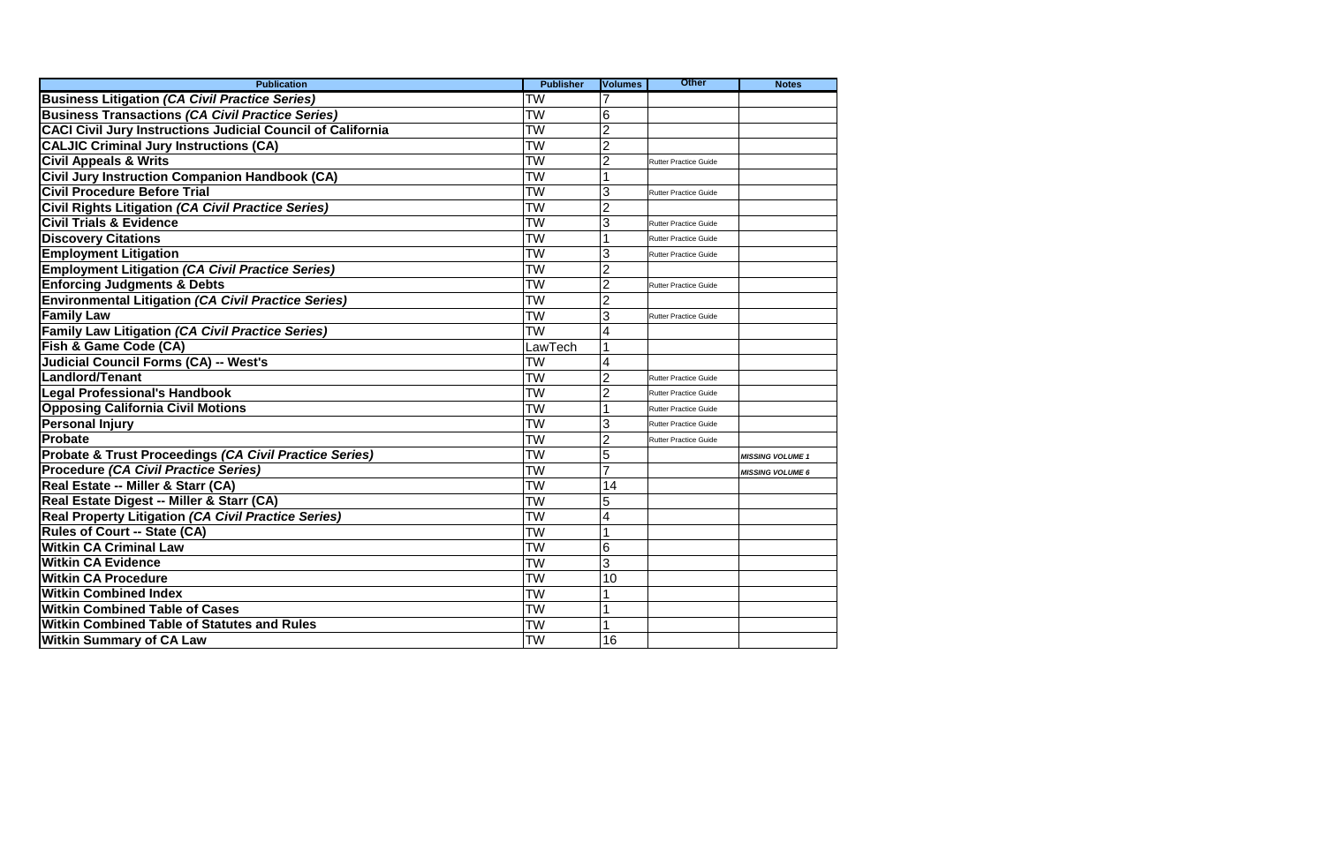| <b>Publication</b>                                                 | <b>Publisher</b> | <b>Volumes</b> | <b>Other</b>                 | <b>Notes</b>            |
|--------------------------------------------------------------------|------------------|----------------|------------------------------|-------------------------|
| <b>Business Litigation (CA Civil Practice Series)</b>              | <b>TW</b>        |                |                              |                         |
| <b>Business Transactions (CA Civil Practice Series)</b>            | <b>TW</b>        | 6              |                              |                         |
| <b>CACI Civil Jury Instructions Judicial Council of California</b> | <b>TW</b>        | $\overline{2}$ |                              |                         |
| <b>CALJIC Criminal Jury Instructions (CA)</b>                      | <b>TW</b>        | $\overline{2}$ |                              |                         |
| <b>Civil Appeals &amp; Writs</b>                                   | <b>TW</b>        | 2              | <b>Rutter Practice Guide</b> |                         |
| <b>Civil Jury Instruction Companion Handbook (CA)</b>              | <b>TW</b>        |                |                              |                         |
| <b>Civil Procedure Before Trial</b>                                | <b>TW</b>        | 3              | <b>Rutter Practice Guide</b> |                         |
| Civil Rights Litigation (CA Civil Practice Series)                 | <b>TW</b>        |                |                              |                         |
| <b>Civil Trials &amp; Evidence</b>                                 | <b>TW</b>        | 3              | <b>Rutter Practice Guide</b> |                         |
| <b>Discovery Citations</b>                                         | <b>TW</b>        |                | <b>Rutter Practice Guide</b> |                         |
| <b>Employment Litigation</b>                                       | <b>TW</b>        | 3              | <b>Rutter Practice Guide</b> |                         |
| <b>Employment Litigation (CA Civil Practice Series)</b>            | <b>TW</b>        |                |                              |                         |
| <b>Enforcing Judgments &amp; Debts</b>                             | <b>TW</b>        |                | <b>Rutter Practice Guide</b> |                         |
| <b>Environmental Litigation (CA Civil Practice Series)</b>         | <b>TW</b>        |                |                              |                         |
| <b>Family Law</b>                                                  | <b>TW</b>        | 3              | <b>Rutter Practice Guide</b> |                         |
| <b>Family Law Litigation (CA Civil Practice Series)</b>            | <b>TW</b>        |                |                              |                         |
| Fish & Game Code (CA)                                              | LawTech          |                |                              |                         |
| <b>Judicial Council Forms (CA) -- West's</b>                       | <b>TW</b>        |                |                              |                         |
| <b>Landlord/Tenant</b>                                             | <b>TW</b>        | 2              | <b>Rutter Practice Guide</b> |                         |
| <b>Legal Professional's Handbook</b>                               | <b>TW</b>        |                | <b>Rutter Practice Guide</b> |                         |
| <b>Opposing California Civil Motions</b>                           | <b>TW</b>        |                | <b>Rutter Practice Guide</b> |                         |
| <b>Personal Injury</b>                                             | <b>TW</b>        | 3              | <b>Rutter Practice Guide</b> |                         |
| Probate                                                            | <b>TW</b>        | $\overline{2}$ | <b>Rutter Practice Guide</b> |                         |
| Probate & Trust Proceedings (CA Civil Practice Series)             | <b>TW</b>        | 5              |                              | <b>MISSING VOLUME 1</b> |
| Procedure (CA Civil Practice Series)                               | <b>TW</b>        | $\overline{7}$ |                              | <b>MISSING VOLUME 6</b> |
| Real Estate -- Miller & Starr (CA)                                 | <b>TW</b>        | 14             |                              |                         |
| Real Estate Digest -- Miller & Starr (CA)                          | <b>TW</b>        | 5              |                              |                         |
| Real Property Litigation (CA Civil Practice Series)                | <b>TW</b>        |                |                              |                         |
| <b>Rules of Court -- State (CA)</b>                                | <b>TW</b>        |                |                              |                         |
| <b>Witkin CA Criminal Law</b>                                      | <b>TW</b>        | 6              |                              |                         |
| <b>Witkin CA Evidence</b>                                          | <b>TW</b>        | 3              |                              |                         |
| <b>Witkin CA Procedure</b>                                         | <b>TW</b>        | 10             |                              |                         |
| <b>Witkin Combined Index</b>                                       | <b>TW</b>        |                |                              |                         |
| <b>Witkin Combined Table of Cases</b>                              | <b>TW</b>        |                |                              |                         |
| <b>Witkin Combined Table of Statutes and Rules</b>                 | <b>TW</b>        |                |                              |                         |
| <b>Witkin Summary of CA Law</b>                                    | <b>TW</b>        | 16             |                              |                         |